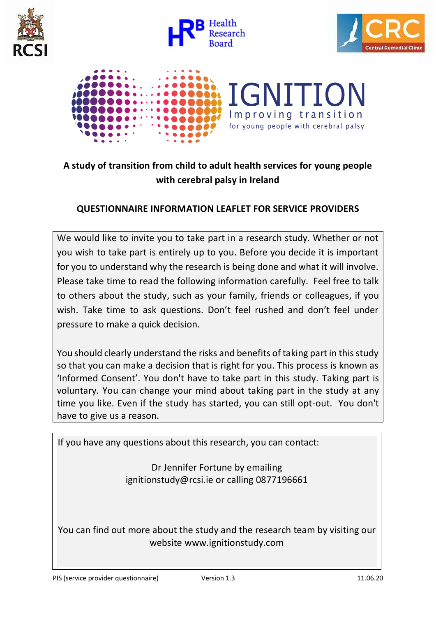







# **A study of transition from child to adult health services for young people with cerebral palsy in Ireland**

## **QUESTIONNAIRE INFORMATION LEAFLET FOR SERVICE PROVIDERS**

We would like to invite you to take part in a research study. Whether or not you wish to take part is entirely up to you. Before you decide it is important for you to understand why the research is being done and what it will involve. Please take time to read the following information carefully. Feel free to talk to others about the study, such as your family, friends or colleagues, if you wish. Take time to ask questions. Don't feel rushed and don't feel under pressure to make a quick decision.

You should clearly understand the risks and benefits of taking part in this study so that you can make a decision that is right for you. This process is known as 'Informed Consent'. You don't have to take part in this study. Taking part is voluntary. You can change your mind about taking part in the study at any time you like. Even if the study has started, you can still opt-out. You don't have to give us a reason.

If you have any questions about this research, you can contact:

Dr Jennifer Fortune by emailing ignitionstudy@rcsi.ie or calling 0877196661

You can find out more about the study and the research team by visiting our website www.ignitionstudy.com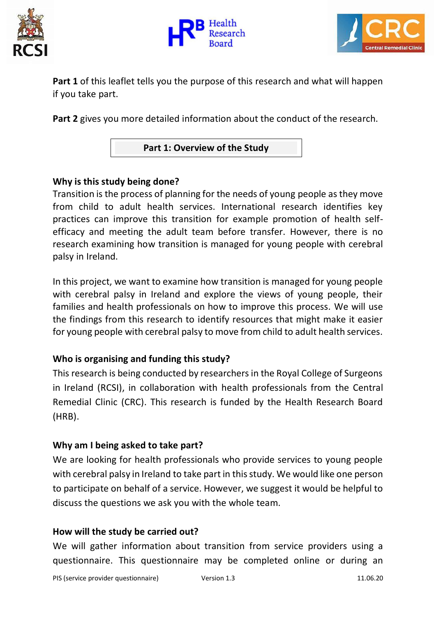





**Part 1** of this leaflet tells you the purpose of this research and what will happen if you take part.

**Part 2** gives you more detailed information about the conduct of the research.

**Part 1: Overview of the Study**

### **Why is this study being done?**

Transition is the process of planning for the needs of young people as they move from child to adult health services. International research identifies key practices can improve this transition for example promotion of health selfefficacy and meeting the adult team before transfer. However, there is no research examining how transition is managed for young people with cerebral palsy in Ireland.

In this project, we want to examine how transition is managed for young people with cerebral palsy in Ireland and explore the views of young people, their families and health professionals on how to improve this process. We will use the findings from this research to identify resources that might make it easier for young people with cerebral palsy to move from child to adult health services.

### **Who is organising and funding this study?**

This research is being conducted by researchers in the Royal College of Surgeons in Ireland (RCSI), in collaboration with health professionals from the Central Remedial Clinic (CRC). This research is funded by the Health Research Board (HRB).

### **Why am I being asked to take part?**

We are looking for health professionals who provide services to young people with cerebral palsy in Ireland to take part in this study. We would like one person to participate on behalf of a service. However, we suggest it would be helpful to discuss the questions we ask you with the whole team.

#### **How will the study be carried out?**

We will gather information about transition from service providers using a questionnaire. This questionnaire may be completed online or during an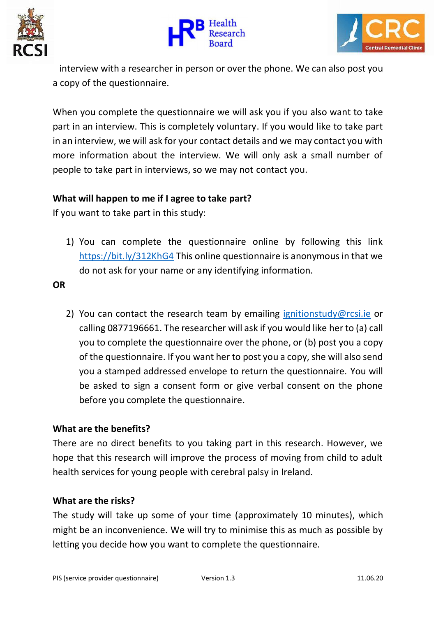





interview with a researcher in person or over the phone. We can also post you a copy of the questionnaire.

When you complete the questionnaire we will ask you if you also want to take part in an interview. This is completely voluntary. If you would like to take part in an interview, we will ask for your contact details and we may contact you with more information about the interview. We will only ask a small number of people to take part in interviews, so we may not contact you.

### **What will happen to me if I agree to take part?**

If you want to take part in this study:

1) You can complete the questionnaire online by following this link <https://bit.ly/312KhG4> This online questionnaire is anonymous in that we do not ask for your name or any identifying information.

**OR**

2) You can contact the research team by emailing [ignitionstudy@rcsi.ie](mailto:ignitionstudy@rcsi.ie) or calling 0877196661. The researcher will ask if you would like her to (a) call you to complete the questionnaire over the phone, or (b) post you a copy of the questionnaire. If you want her to post you a copy, she will also send you a stamped addressed envelope to return the questionnaire. You will be asked to sign a consent form or give verbal consent on the phone before you complete the questionnaire.

### **What are the benefits?**

There are no direct benefits to you taking part in this research. However, we hope that this research will improve the process of moving from child to adult health services for young people with cerebral palsy in Ireland.

#### **What are the risks?**

The study will take up some of your time (approximately 10 minutes), which might be an inconvenience. We will try to minimise this as much as possible by letting you decide how you want to complete the questionnaire.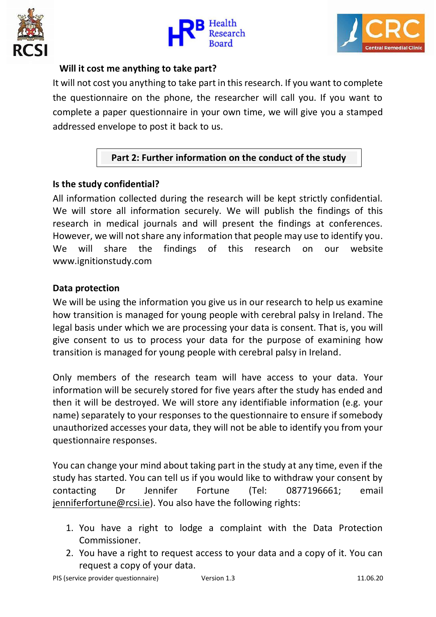





#### **Will it cost me anything to take part?**

It will not cost you anything to take part in this research. If you want to complete the questionnaire on the phone, the researcher will call you. If you want to complete a paper questionnaire in your own time, we will give you a stamped addressed envelope to post it back to us.

## **Part 2: Further information on the conduct of the study**

### **Is the study confidential?**

All information collected during the research will be kept strictly confidential. We will store all information securely. We will publish the findings of this research in medical journals and will present the findings at conferences. However, we will not share any information that people may use to identify you. We will share the findings of this research on our website www.ignitionstudy.com

### **Data protection**

We will be using the information you give us in our research to help us examine how transition is managed for young people with cerebral palsy in Ireland. The legal basis under which we are processing your data is consent. That is, you will give consent to us to process your data for the purpose of examining how transition is managed for young people with cerebral palsy in Ireland.

Only members of the research team will have access to your data. Your information will be securely stored for five years after the study has ended and then it will be destroyed. We will store any identifiable information (e.g. your name) separately to your responses to the questionnaire to ensure if somebody unauthorized accesses your data, they will not be able to identify you from your questionnaire responses.

You can change your mind about taking part in the study at any time, even if the study has started. You can tell us if you would like to withdraw your consent by contacting Dr Jennifer Fortune (Tel: 0877196661; email [jenniferfortune@rcsi.ie\)](mailto:jenniferfortune@rcsi.ie). You also have the following rights:

- 1. You have a right to lodge a complaint with the Data Protection Commissioner.
- 2. You have a right to request access to your data and a copy of it. You can request a copy of your data.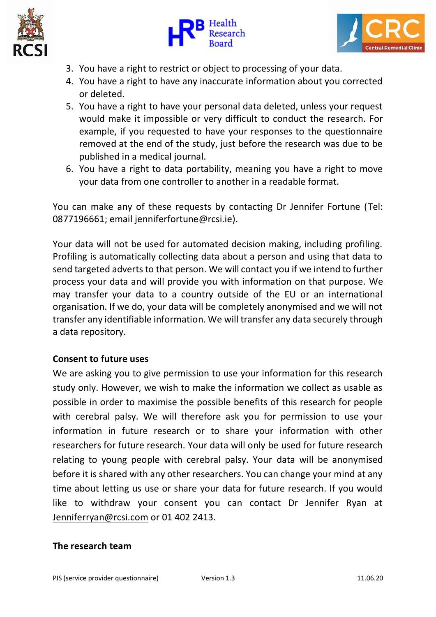





- 3. You have a right to restrict or object to processing of your data.
- 4. You have a right to have any inaccurate information about you corrected or deleted.
- 5. You have a right to have your personal data deleted, unless your request would make it impossible or very difficult to conduct the research. For example, if you requested to have your responses to the questionnaire removed at the end of the study, just before the research was due to be published in a medical journal.
- 6. You have a right to data portability, meaning you have a right to move your data from one controller to another in a readable format.

You can make any of these requests by contacting Dr Jennifer Fortune (Tel: 0877196661; email [jenniferfortune@rcsi.ie\)](mailto:jenniferfortune@rcsi.ie).

Your data will not be used for automated decision making, including profiling. Profiling is automatically collecting data about a person and using that data to send targeted adverts to that person. We will contact you if we intend to further process your data and will provide you with information on that purpose. We may transfer your data to a country outside of the EU or an international organisation. If we do, your data will be completely anonymised and we will not transfer any identifiable information. We will transfer any data securely through a data repository.

## **Consent to future uses**

We are asking you to give permission to use your information for this research study only. However, we wish to make the information we collect as usable as possible in order to maximise the possible benefits of this research for people with cerebral palsy. We will therefore ask you for permission to use your information in future research or to share your information with other researchers for future research. Your data will only be used for future research relating to young people with cerebral palsy. Your data will be anonymised before it is shared with any other researchers. You can change your mind at any time about letting us use or share your data for future research. If you would like to withdraw your consent you can contact Dr Jennifer Ryan at [Jenniferryan@rcsi.com](mailto:Jenniferryan@rcsi.com) or 01 402 2413.

### **The research team**